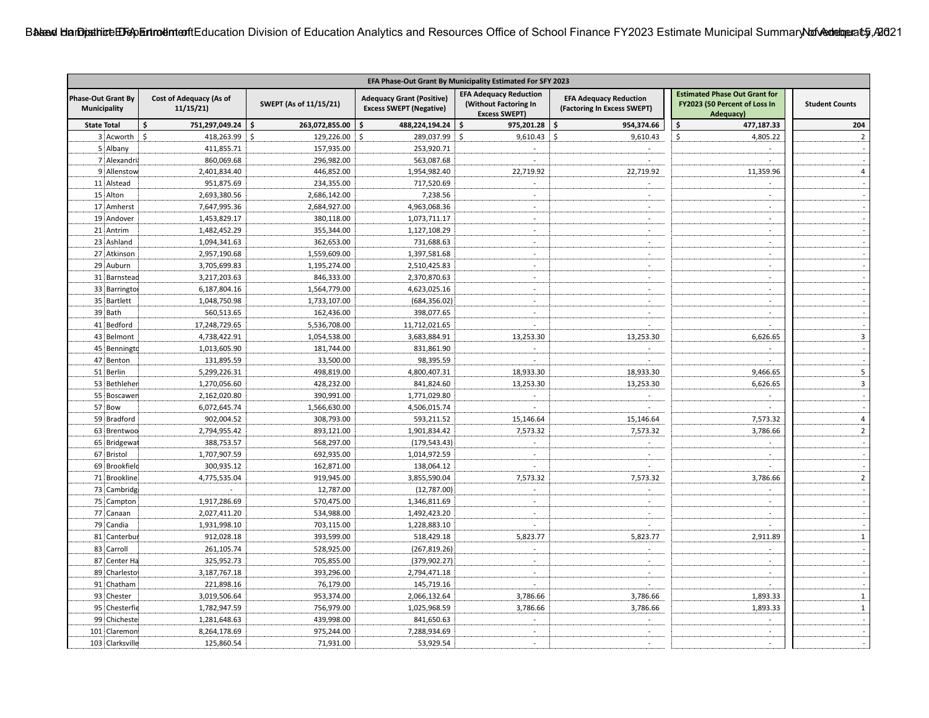| EFA Phase-Out Grant By Municipality Estimated For SFY 2023 |                                     |                        |                                                                    |                                                                                |                                                              |                                                                                    |                          |
|------------------------------------------------------------|-------------------------------------|------------------------|--------------------------------------------------------------------|--------------------------------------------------------------------------------|--------------------------------------------------------------|------------------------------------------------------------------------------------|--------------------------|
| <b>Phase-Out Grant By</b><br>Municipality                  | Cost of Adequacy (As of<br>11/15/21 | SWEPT (As of 11/15/21) | <b>Adequacy Grant (Positive)</b><br><b>Excess SWEPT (Negative)</b> | <b>EFA Adequacy Reduction</b><br>(Without Factoring In<br><b>Excess SWEPT)</b> | <b>EFA Adequacy Reduction</b><br>(Factoring In Excess SWEPT) | <b>Estimated Phase Out Grant for</b><br>FY2023 (50 Percent of Loss In<br>Adequacy) | <b>Student Counts</b>    |
| <b>State Total</b>                                         | 751,297,049.24 \$<br>\$             | 263,072,855.00         | 488,224,194.24<br>Ŝ.                                               | $975,201.28$ \$<br>\$                                                          | 954,374.66                                                   | 477,187.33<br>\$                                                                   | 204                      |
| 3 Acworth                                                  | Ŝ.<br>418,263.99                    | -\$<br>129,226.00 \$   | 289,037.99                                                         | \$<br>$9,610.43$ \$                                                            | 9,610.43                                                     | \$<br>4,805.22                                                                     | $\overline{2}$           |
| 5 Albany                                                   | 411,855.71                          | 157,935.00             | 253,920.71                                                         |                                                                                | $\overline{a}$                                               | $\overline{a}$                                                                     |                          |
| 7 Alexandria                                               | 860,069.68                          | 296,982.00             | 563,087.68                                                         |                                                                                |                                                              | $\overline{a}$                                                                     |                          |
| 9 Allenstow                                                | 2,401,834.40                        | 446,852.00             | 1,954,982.40                                                       | 22,719.92                                                                      | 22,719.92                                                    | 11,359.96                                                                          | $\overline{4}$           |
| 11 Alstead                                                 | 951,875.69                          | 234,355.00             | 717,520.69                                                         |                                                                                | $\sim$                                                       |                                                                                    |                          |
| 15 Alton                                                   | 2,693,380.56                        | 2,686,142.00           | 7,238.56                                                           | $\sim$                                                                         | $\sim$                                                       | $\overline{a}$                                                                     |                          |
| 17 Amherst                                                 | 7,647,995.36                        | 2,684,927.00           | 4,963,068.36                                                       | $\sim$                                                                         | $\sim$                                                       | $\mathbf{r}$                                                                       |                          |
| 19 Andover                                                 | 1,453,829.17                        | 380,118.00             | 1,073,711.17                                                       | $\sim$                                                                         | $\sim$                                                       | $\overline{a}$                                                                     |                          |
| 21 Antrim                                                  | 1,482,452.29                        | 355,344.00             | 1,127,108.29                                                       | $\sim$                                                                         | $\sim$                                                       | $\mathbf{r}$                                                                       |                          |
| 23 Ashland                                                 | 1,094,341.63                        | 362,653.00             | 731,688.63                                                         | $\sim$                                                                         | $\sim$                                                       | $\sim$                                                                             |                          |
| 27 Atkinson                                                | 2,957,190.68                        | 1,559,609.00           | 1,397,581.68                                                       | $\overline{a}$                                                                 | $\sim$                                                       | $\mathbf{r}$                                                                       |                          |
| 29 Auburn                                                  | 3,705,699.83                        | 1,195,274.00           | 2,510,425.83                                                       | $\sim$                                                                         | $\sim$                                                       | $\sim$                                                                             |                          |
| 31 Barnstead                                               | 3,217,203.63                        | 846,333.00             | 2,370,870.63                                                       |                                                                                | $\sim$                                                       | $\overline{a}$                                                                     |                          |
| 33 Barrington                                              | 6,187,804.16                        | 1,564,779.00           | 4,623,025.16                                                       | $\sim$                                                                         | $\sim$                                                       | $\mathbf{r}$                                                                       |                          |
| 35 Bartlett                                                | 1,048,750.98                        | 1,733,107.00           | (684, 356.02)                                                      | $\sim$                                                                         | $\sim$                                                       | $\overline{a}$                                                                     |                          |
| 39 Bath                                                    | 560,513.65                          | 162,436.00             | 398,077.65                                                         | $\sim$                                                                         | $\sim$                                                       | $\mathcal{L}$                                                                      |                          |
| 41 Bedford                                                 | 17,248,729.65                       | 5,536,708.00           | 11,712,021.65                                                      |                                                                                | $\mathbf{r}$                                                 |                                                                                    |                          |
| 43 Belmont                                                 | 4,738,422.91                        | 1,054,538.00           | 3,683,884.91                                                       | 13,253.30                                                                      | 13,253.30                                                    | 6,626.65                                                                           | $\overline{3}$           |
| 45 Benningtd                                               | 1,013,605.90                        | 181,744.00             | 831,861.90                                                         |                                                                                | $\sim$                                                       | $\sim$                                                                             |                          |
| 47 Benton                                                  | 131,895.59                          | 33,500.00              | 98,395.59                                                          |                                                                                | $\sim$                                                       | $\overline{a}$                                                                     | $\sim$                   |
| 51 Berlin                                                  | 5,299,226.31                        | 498,819.00             | 4,800,407.31                                                       | 18,933.30                                                                      | 18,933.30                                                    | 9,466.65                                                                           | $\sf 5$                  |
| 53 Bethlehen                                               | 1,270,056.60                        | 428,232.00             | 841,824.60                                                         | 13,253.30                                                                      | 13,253.30                                                    | 6,626.65                                                                           | $\overline{3}$           |
| 55 Boscawen                                                | 2,162,020.80                        | 390,991.00             | 1,771,029.80                                                       | $\sim$                                                                         | $\sim$                                                       | $\sim$                                                                             | $\sim$                   |
| 57 Bow                                                     | 6,072,645.74                        | 1,566,630.00           | 4,506,015.74                                                       | $\sim$                                                                         | $\sim$                                                       | $\sim$                                                                             | $\mathcal{A}$            |
| 59 Bradford                                                | 902,004.52                          | 308,793.00             | 593,211.52                                                         | 15,146.64                                                                      | 15,146.64                                                    | 7,573.32                                                                           | $\overline{4}$           |
| 63 Brentwoo                                                | 2,794,955.42                        | 893,121.00             | 1,901,834.42                                                       | 7,573.32                                                                       | 7,573.32                                                     | 3,786.66                                                                           | $\overline{2}$           |
| 65 Bridgewat                                               | 388,753.57                          | 568,297.00             | (179, 543.43)                                                      | $\sim$                                                                         | $\sim$                                                       | $\sim$                                                                             | $\overline{a}$           |
| 67 Bristol                                                 | 1,707,907.59                        | 692,935.00             | 1,014,972.59                                                       | $\sim$                                                                         | $\sim$                                                       | $\sim$                                                                             | $\sim$                   |
| 69 Brookfield                                              | 300,935.12                          | 162,871.00             | 138,064.12                                                         | $\sim$                                                                         | $\sim$                                                       | $\sim$                                                                             | $\sim$                   |
| 71 Brookline                                               | 4,775,535.04                        | 919,945.00             | 3,855,590.04                                                       | 7,573.32                                                                       | 7,573.32                                                     | 3,786.66                                                                           | $\overline{2}$           |
| 73 Cambridge                                               | $\sim$                              | 12,787.00              | (12,787.00)                                                        | $\sim$                                                                         | $\sim$                                                       | $\sim$                                                                             | $\sim$                   |
| 75 Campton                                                 | 1,917,286.69                        | 570,475.00             | 1,346,811.69                                                       | $\sim$                                                                         |                                                              | $\mathbf{r}$                                                                       | $\mathcal{A}$            |
| 77 Canaan                                                  | 2,027,411.20                        | 534,988.00             | 1,492,423.20                                                       | $\sim$                                                                         |                                                              | $\sim$                                                                             |                          |
| 79 Candia                                                  | 1,931,998.10                        | 703,115.00             | 1,228,883.10                                                       | $\overline{a}$                                                                 | $\overline{a}$                                               | $\overline{a}$                                                                     | $\sim$                   |
| 81 Canterbur                                               | 912,028.18                          | 393,599.00             | 518,429.18                                                         | 5,823.77                                                                       | 5,823.77                                                     | 2,911.89                                                                           | $\mathbf 1$              |
| 83 Carroll                                                 | 261,105.74                          | 528,925.00             | (267, 819.26)                                                      | $\sim$                                                                         | $\sim$                                                       | $\overline{a}$                                                                     | $\sim$                   |
| 87 Center Ha                                               | 325,952.73                          | 705,855.00             | (379, 902.27)                                                      | $\sim$                                                                         | $\sim$                                                       | $\mathbf{r}$                                                                       | $\sim$                   |
| 89 Charlesto                                               | 3,187,767.18                        | 393,296.00             | 2,794,471.18                                                       | $\sim$                                                                         | $\sim$                                                       | $\mathbf{r}$                                                                       |                          |
| 91 Chatham                                                 | 221,898.16                          | 76,179.00              | 145,719.16                                                         | $\sim$                                                                         | $\sim$                                                       | $\sim$                                                                             |                          |
| 93 Chester                                                 | 3,019,506.64                        | 953,374.00             | 2,066,132.64                                                       | 3,786.66                                                                       | 3,786.66                                                     | 1,893.33                                                                           | $\mathbf{1}$             |
| 95 Chesterfie                                              | 1,782,947.59                        | 756,979.00             | 1,025,968.59                                                       | 3,786.66                                                                       | 3,786.66                                                     | 1,893.33                                                                           | $\mathbf 1$              |
| 99 Chicheste                                               | 1,281,648.63                        | 439,998.00             | 841,650.63                                                         |                                                                                | $\sim$                                                       | $\sim$                                                                             | $\sim$                   |
| 101 Claremon                                               | 8,264,178.69                        | 975,244.00             | 7,288,934.69                                                       | $\sim$                                                                         | $\blacksquare$                                               | $\mathbf{r}$                                                                       | $\overline{\phantom{a}}$ |
| 103 Clarksville                                            | 125,860.54                          | 71,931.00              | 53,929.54                                                          |                                                                                | $\mathbf{r}$                                                 | $\sim$                                                                             |                          |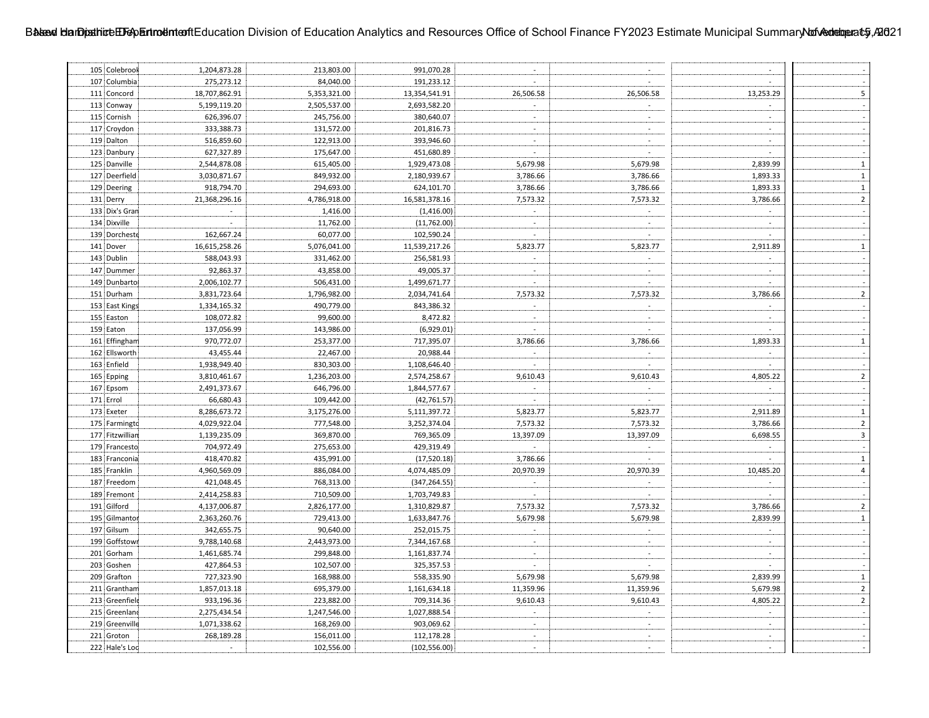| 105 Colebrook   | 1,204,873.28                | 213,803.00   | 991,070.28    | $\sim$                      | $\sim$                    | $\sim$                      |                             |
|-----------------|-----------------------------|--------------|---------------|-----------------------------|---------------------------|-----------------------------|-----------------------------|
| 107 Columbia    | 275,273.12                  | 84,040.00    | 191,233.12    |                             | $\sim$                    |                             |                             |
| 111 Concord     | 18,707,862.91               | 5,353,321.00 | 13,354,541.91 | 26,506.58                   | 26,506.58                 | 13,253.29                   | $\overline{\mathbf{5}}$     |
| 113 Conway      | 5,199,119.20                | 2,505,537.00 | 2,693,582.20  |                             | $\sim$                    |                             |                             |
| 115 Cornish     | 626,396.07                  | 245,756.00   | 380,640.07    | $\sim$                      | $\sim$                    | $\mathbb{Z}^{\mathbb{Z}}$   |                             |
| 117 Croydon     | 333,388.73                  | 131,572.00   | 201,816.73    |                             | $\mathcal{L}$             | $\mathcal{L}$               |                             |
| 119 Dalton      | 516,859.60                  | 122,913.00   | 393,946.60    | $\sim$                      | $\sim$                    | $\mathcal{L}$               |                             |
| 123 Danbury     | 627,327.89                  | 175,647.00   | 451,680.89    |                             | $\sim$                    |                             |                             |
| 125 Danville    | 2,544,878.08                | 615,405.00   | 1,929,473.08  | 5,679.98                    | 5,679.98                  | 2,839.99                    | $\mathbf 1$                 |
| 127 Deerfield   | 3,030,871.67                | 849,932.00   | 2,180,939.67  | 3,786.66                    | 3,786.66                  | 1,893.33                    | $\mathbf 1$                 |
| 129 Deering     | 918,794.70                  | 294,693.00   | 624,101.70    | 3,786.66                    | 3,786.66                  | 1,893.33                    | $\mathbf 1$                 |
| 131 Derry       | 21,368,296.16               | 4,786,918.00 | 16,581,378.16 | 7,573.32                    | 7,573.32                  | 3,786.66                    | $\overline{2}$              |
| 133 Dix's Gran  | $\mathcal{L}^{\mathcal{A}}$ | 1,416.00     | (1,416.00)    | $\sim$                      | $\sim$                    |                             | $\sim$                      |
| 134 Dixville    | $\sim$                      | 11,762.00    | (11,762.00)   | $\mathcal{L}^{\mathcal{L}}$ |                           | $\mathcal{L}$               | $\sim$                      |
| 139 Dorcheste   | 162,667.24                  | 60,077.00    | 102,590.24    | $\sim$                      | $\sim$                    | $\sim$                      |                             |
| 141 Dover       | 16,615,258.26               | 5,076,041.00 | 11,539,217.26 | 5,823.77                    | 5,823.77                  | 2,911.89                    | $\mathbf 1$                 |
| 143 Dublin      | 588,043.93                  | 331,462.00   | 256,581.93    | $\sim$                      | $\mathbf{r}$              | $\sim$                      | $\sim$                      |
| 147 Dummer      | 92,863.37                   | 43,858.00    | 49,005.37     | $\sim$                      | $\sim$                    | $\sim$                      | $\sim$                      |
| 149 Dunbarto    | 2,006,102.77                | 506,431.00   | 1,499,671.77  | $\sim$                      | $\sim$                    | $\sim$                      |                             |
| 151 Durham      |                             |              |               |                             |                           |                             | $\overline{2}$              |
|                 | 3,831,723.64                | 1,796,982.00 | 2,034,741.64  | 7,573.32<br>$\sim$          | 7,573.32<br>$\sim$        | 3,786.66<br>$\sim$          |                             |
| 153 East Kings  | 1,334,165.32                | 490,779.00   | 843,386.32    |                             | $\sim$                    | $\sim$                      |                             |
| 155 Easton      | 108,072.82                  | 99,600.00    | 8,472.82      | $\sim$                      |                           |                             | $\sim$                      |
| 159 Eaton       | 137,056.99                  | 143,986.00   | (6,929.01)    | $\sim$                      | $\sim$                    |                             |                             |
| 161 Effingham   | 970,772.07                  | 253,377.00   | 717,395.07    | 3,786.66                    | 3,786.66                  | 1,893.33                    | $\mathbf 1$                 |
| 162 Ellsworth   | 43,455.44                   | 22,467.00    | 20,988.44     | $\mathbf{r}$                | $\mathcal{L}$             | $\mathbf{r}$                |                             |
| 163 Enfield     | 1,938,949.40                | 830,303.00   | 1,108,646.40  | $\mathbf{r}$                |                           | $\mathcal{L}^{\mathcal{A}}$ |                             |
| 165 Epping      | 3,810,461.67                | 1,236,203.00 | 2,574,258.67  | 9,610.43                    | 9,610.43                  | 4,805.22                    | $\mathbf 2$                 |
| 167 Epsom       | 2,491,373.67                | 646,796.00   | 1,844,577.67  | $\omega$                    | $\omega$                  | $\overline{\phantom{a}}$    | $\mathcal{L}_{\mathcal{A}}$ |
| 171 Errol       | 66,680.43                   | 109,442.00   | (42, 761.57)  |                             | $\sim$                    | $\sim$                      | $\overline{\phantom{a}}$    |
| 173 Exeter      | 8,286,673.72                | 3,175,276.00 | 5,111,397.72  | 5,823.77                    | 5,823.77                  | 2,911.89                    | $\mathbf 1$                 |
| 175 Farmingto   | 4,029,922.04                | 777,548.00   | 3,252,374.04  | 7,573.32                    | 7,573.32                  | 3,786.66                    | $\overline{2}$              |
| 177 Fitzwillian | 1,139,235.09                | 369,870.00   | 769,365.09    | 13,397.09                   | 13,397.09                 | 6,698.55                    | $\overline{\mathbf{3}}$     |
| 179 Francesto   | 704,972.49                  | 275,653.00   | 429,319.49    | $\sim$                      | $\mathbf{r}$              | $\mathcal{L}^{\mathcal{A}}$ | $\sim$                      |
| 183 Franconia   | 418,470.82                  | 435,991.00   | (17,520.18)   | 3,786.66                    | $\sim$                    | $\sim$                      | $\,1\,$                     |
| 185 Franklin    | 4,960,569.09                | 886,084.00   | 4,074,485.09  | 20,970.39                   | 20,970.39                 | 10,485.20                   | $\overline{4}$              |
| 187 Freedom     | 421,048.45                  | 768,313.00   | (347, 264.55) | $\sim$                      | $\sim$                    |                             | $\mathbb{Z}^2$              |
| 189 Fremont     | 2,414,258.83                | 710,509.00   | 1,703,749.83  | $\sim$                      | $\sim$                    | $\mathcal{L}^{\mathcal{A}}$ | $\mathbf{r}$                |
| 191 Gilford     | 4,137,006.87                | 2,826,177.00 | 1,310,829.87  | 7,573.32                    | 7,573.32                  | 3,786.66                    | $\mathbf 2$                 |
| 195 Gilmantor   | 2,363,260.76                | 729,413.00   | 1,633,847.76  | 5,679.98                    | 5,679.98                  | 2,839.99                    | $\mathbf 1$                 |
| 197 Gilsum      | 342,655.75                  | 90,640.00    | 252,015.75    | $\sim$                      | $\sim$                    | $\sim$                      |                             |
| 199 Goffstown   | 9,788,140.68                | 2,443,973.00 | 7,344,167.68  | $\sim$                      | $\sim$                    | $\sim$                      | $\sim$                      |
| 201 Gorham      | 1,461,685.74                | 299,848.00   | 1,161,837.74  | $\sim$                      | $\sim$                    | $\sim$                      |                             |
| 203 Goshen      | 427,864.53                  | 102,507.00   | 325,357.53    | $\sim$                      | $\blacksquare$            | $\sim$                      | $\sim$                      |
| 209 Grafton     | 727,323.90                  | 168,988.00   | 558,335.90    | 5,679.98                    | 5,679.98                  | 2,839.99                    | $\mathbf 1$                 |
| 211 Grantham    | 1,857,013.18                | 695,379.00   | 1,161,634.18  | 11,359.96                   | 11,359.96                 | 5,679.98                    | $\mathbf 2$                 |
| 213 Greenfield  | 933,196.36                  | 223,882.00   | 709,314.36    | 9,610.43                    | 9,610.43                  | 4,805.22                    | $\mathbf 2$                 |
| 215 Greenland   | 2,275,434.54                | 1,247,546.00 | 1,027,888.54  | $\sim$                      | $\mathbb{Z}^{\mathbb{Z}}$ |                             |                             |
| 219 Greenville  | 1,071,338.62                | 168,269.00   | 903,069.62    |                             |                           |                             |                             |
| 221 Groton      | 268,189.28                  | 156,011.00   | 112,178.28    |                             |                           |                             |                             |
| 222 Hale's Loc  |                             | 102,556.00   | (102, 556.00) | $\overline{a}$              | $\sim$                    | $\mathcal{L}$               |                             |
|                 |                             |              |               |                             |                           |                             |                             |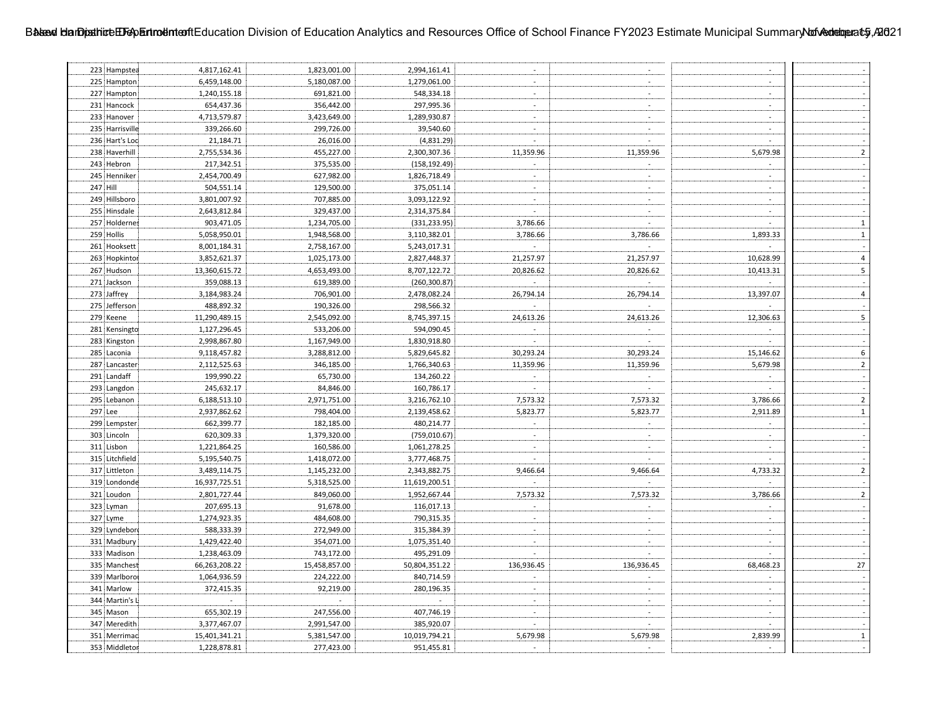| 223 Hampstea                 | 4,817,162.41  | 1,823,001.00  | 2,994,161.41  | $\sim$                   | $\sim$                    | $\overline{\phantom{a}}$    |                          |
|------------------------------|---------------|---------------|---------------|--------------------------|---------------------------|-----------------------------|--------------------------|
| 225 Hampton                  | 6,459,148.00  | 5,180,087.00  | 1,279,061.00  |                          | $\sim$                    | $\sim$                      |                          |
| 227 Hampton                  | 1,240,155.18  | 691,821.00    | 548,334.18    | $\sim$                   | $\sim$                    | $\sim$                      |                          |
| 231 Hancock                  | 654,437.36    | 356,442.00    | 297,995.36    |                          | $\sim$                    | $\mathbf{r}$                |                          |
| 233 Hanover                  | 4,713,579.87  | 3,423,649.00  | 1,289,930.87  | $\sim$                   | $\sim$                    | ÷.                          |                          |
| 235 Harrisville              | 339,266.60    | 299,726.00    | 39,540.60     |                          | $\sim$                    |                             |                          |
| 236 Hart's Loc               | 21,184.71     | 26,016.00     | (4,831.29)    | $\overline{a}$           | $\omega$                  | $\mathcal{L}$               |                          |
| 238 Haverhill                | 2,755,534.36  | 455,227.00    | 2,300,307.36  | 11,359.96                | 11,359.96                 | 5,679.98                    | $\mathbf 2$              |
| 243 Hebron                   | 217,342.51    | 375,535.00    | (158, 192.49) |                          |                           |                             |                          |
| 245 Henniker                 | 2,454,700.49  | 627,982.00    | 1,826,718.49  | $\sim$                   |                           | $\sim$                      |                          |
| 247 Hill                     | 504,551.14    | 129,500.00    | 375,051.14    | $\sim$                   | $\sim$                    | $\mathbf{r}$                |                          |
| 249 Hillsboro                | 3,801,007.92  | 707,885.00    | 3,093,122.92  | $\mathbf{r}$             | $\overline{a}$            | $\overline{a}$              |                          |
| 255 Hinsdale                 | 2,643,812.84  | 329,437.00    | 2,314,375.84  | $\sim$                   |                           | $\mathbf{r}$                |                          |
| 257 Holdernes                | 903,471.05    | 1,234,705.00  | (331, 233.95) | 3,786.66                 | $\sim$                    | $\overline{a}$              | $\mathbf 1$              |
| 259 Hollis                   | 5,058,950.01  | 1,948,568.00  | 3,110,382.01  | 3,786.66                 | 3,786.66                  | 1,893.33                    | $\mathbf 1$              |
| 261 Hooksett                 | 8,001,184.31  | 2,758,167.00  | 5,243,017.31  | $\sim$                   | $\sim$                    | $\sim$                      | $\sim$                   |
| 263 Hopkintor                | 3,852,621.37  | 1,025,173.00  | 2,827,448.37  | 21,257.97                | 21,257.97                 | 10,628.99                   | $\pmb{4}$                |
| 267 Hudson                   | 13,360,615.72 | 4,653,493.00  | 8,707,122.72  | 20,826.62                | 20,826.62                 | 10,413.31                   | 5                        |
| 271 Jackson                  | 359,088.13    | 619,389.00    | (260, 300.87) | $\sim$                   | $\sim$                    | $\sim$                      | $\sim$                   |
| 273 Jaffrey                  | 3,184,983.24  | 706,901.00    | 2,478,082.24  | 26,794.14                | 26,794.14                 | 13,397.07                   | $\overline{4}$           |
| 275 Jefferson                | 488,892.32    | 190,326.00    | 298,566.32    |                          | $\sim$                    |                             |                          |
| 279 Keene                    | 11,290,489.15 | 2,545,092.00  | 8,745,397.15  | 24,613.26                | 24,613.26                 | 12,306.63                   | $\overline{\mathbf{5}}$  |
| 281 Kensingto                | 1,127,296.45  | 533,206.00    | 594,090.45    |                          |                           |                             |                          |
| 283 Kingston                 | 2,998,867.80  | 1,167,949.00  | 1,830,918.80  | L.                       |                           | ÷.                          | $\mathbb{Z}$             |
| 285 Laconia                  | 9,118,457.82  | 3,288,812.00  | 5,829,645.82  |                          |                           |                             | $\sf 6$                  |
|                              |               |               |               | 30,293.24                | 30,293.24                 | 15,146.62                   | $\overline{2}$           |
| 287 Lancaster<br>291 Landaff | 2,112,525.63  | 346,185.00    | 1,766,340.63  | 11,359.96<br>$\sim$      | 11,359.96<br>$\sim$       | 5,679.98<br>$\overline{a}$  | $\Box$                   |
|                              | 199,990.22    | 65,730.00     | 134,260.22    | $\sim$                   | $\mathbb{Z}^{\mathbb{Z}}$ | $\mathcal{L}_{\mathcal{A}}$ |                          |
| 293 Langdon                  | 245,632.17    | 84,846.00     | 160,786.17    |                          |                           |                             | $\overline{\phantom{a}}$ |
| 295 Lebanon                  | 6,188,513.10  | 2,971,751.00  | 3,216,762.10  | 7,573.32                 | 7,573.32                  | 3,786.66                    | $\overline{2}$           |
| 297 Lee                      | 2,937,862.62  | 798,404.00    | 2,139,458.62  | 5,823.77                 | 5,823.77                  | 2,911.89                    | $\mathbf 1$              |
| 299 Lempster                 | 662,399.77    | 182,185.00    | 480,214.77    | $\omega$                 | $\sim$                    | $\overline{a}$              | $\mathbb{Z}^2$           |
| 303 Lincoln                  | 620,309.33    | 1,379,320.00  | (759, 010.67) | $\sim$                   |                           |                             | $\Box$                   |
| 311 Lisbon                   | 1,221,864.25  | 160,586.00    | 1,061,278.25  | $\omega$                 | $\sim$                    | $\mathbf{r}$                | $\sim$                   |
| 315 Litchfield               | 5,195,540.75  | 1,418,072.00  | 3,777,468.75  | $\sim$                   | $\sim$                    | $\sim$                      |                          |
| 317 Littleton                | 3,489,114.75  | 1,145,232.00  | 2,343,882.75  | 9,466.64                 | 9,466.64                  | 4,733.32                    | $\overline{2}$           |
| 319 Londonde                 | 16,937,725.51 | 5,318,525.00  | 11,619,200.51 | $\sim$                   | $\mathbb{R}^2$            | $\sim$                      |                          |
| 321 Loudon                   | 2,801,727.44  | 849,060.00    | 1,952,667.44  | 7,573.32                 | 7,573.32                  | 3,786.66                    | $\overline{2}$           |
| 323 Lyman                    | 207,695.13    | 91,678.00     | 116,017.13    | $\sim$                   | $\sim$                    | $\sim$                      |                          |
| 327 Lyme                     | 1,274,923.35  | 484,608.00    | 790,315.35    | $\sim$                   | $\sim$                    | $\sim$                      | $\sim$                   |
| 329 Lyndebor                 | 588,333.39    | 272,949.00    | 315,384.39    | $\overline{\phantom{a}}$ | $\sim$                    |                             |                          |
| 331 Madbury                  | 1,429,422.40  | 354,071.00    | 1,075,351.40  | $\sim$                   | $\sim$                    | $\sim$                      |                          |
| 333 Madison                  | 1,238,463.09  | 743,172.00    | 495,291.09    |                          | $\mathbb{Z}^{\mathbb{Z}}$ |                             |                          |
| 335 Manchest                 | 66,263,208.22 | 15,458,857.00 | 50,804,351.22 | 136,936.45               | 136,936.45                | 68,468.23                   | 27                       |
| 339 Marlboro                 | 1,064,936.59  | 224,222.00    | 840,714.59    |                          | $\blacksquare$            |                             |                          |
| 341 Marlow                   | 372,415.35    | 92,219.00     | 280,196.35    | $\sim$                   | $\sim$                    | $\overline{\phantom{a}}$    | $\overline{a}$           |
| 344 Martin's L               |               |               |               | $\overline{a}$           | $\sim$                    | $\mathbf{r}$                |                          |
| 345 Mason                    | 655,302.19    | 247,556.00    | 407,746.19    | $\overline{a}$           | $\sim$                    | $\mathbf{r}$                |                          |
| 347 Meredith                 | 3,377,467.07  | 2,991,547.00  | 385,920.07    | $\overline{a}$           | $\sim$                    | $\sim$                      |                          |
| 351 Merrimac                 | 15,401,341.21 | 5,381,547.00  | 10,019,794.21 | 5,679.98                 | 5,679.98                  | 2,839.99                    | $\mathbf 1$              |
| 353 Middletor                | 1,228,878.81  | 277,423.00    | 951,455.81    | $\sim$                   |                           | $\overline{a}$              | $\mathbf{r}$             |
|                              |               |               |               |                          |                           |                             |                          |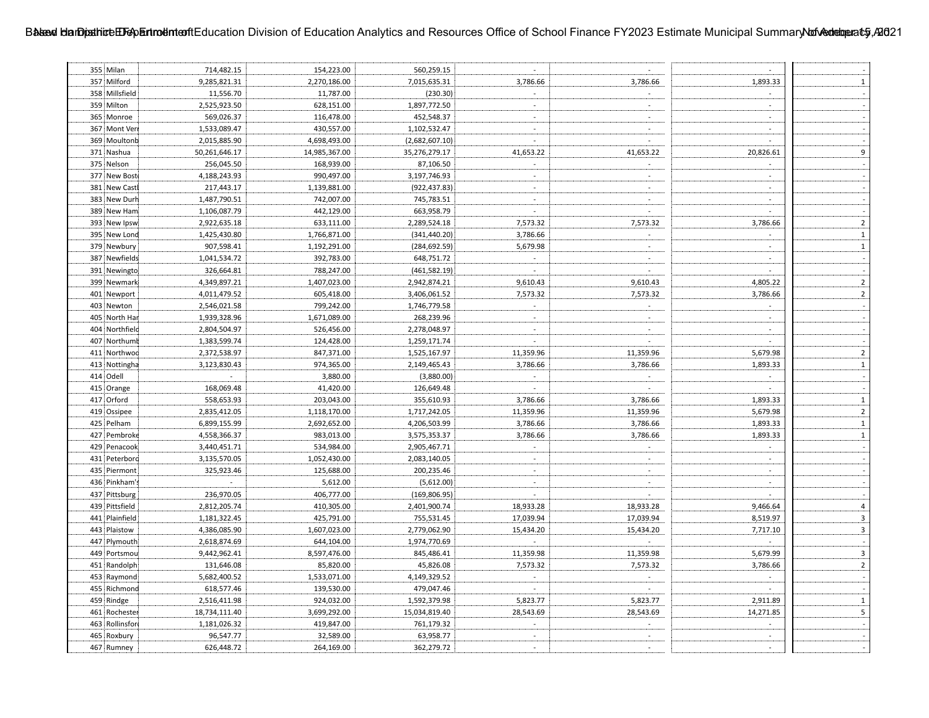| 355 Milan      | 714,482.15    | 154,223.00    | 560,259.15     | $\sim$         | $\sim$                   | $\sim$                      |                          |
|----------------|---------------|---------------|----------------|----------------|--------------------------|-----------------------------|--------------------------|
| 357 Milford    | 9,285,821.31  | 2,270,186.00  | 7,015,635.31   | 3,786.66       | 3,786.66                 | 1,893.33                    | $\mathbf{1}$             |
| 358 Millsfield | 11,556.70     | 11,787.00     | (230.30)       | $\sim$         |                          | $\sim$                      |                          |
| 359 Milton     | 2,525,923.50  | 628,151.00    | 1,897,772.50   |                |                          | $\sim$                      |                          |
| 365 Monroe     | 569,026.37    | 116,478.00    | 452,548.37     | $\sim$         |                          | $\mathbf{r}$                |                          |
| 367 Mont Ver   | 1,533,089.47  | 430,557.00    | 1,102,532.47   |                |                          |                             |                          |
| 369 Moultonb   | 2,015,885.90  | 4,698,493.00  | (2,682,607.10) | $\sim$         | $\overline{\phantom{a}}$ | $\mathbf{r}$                |                          |
| 371 Nashua     | 50,261,646.17 | 14,985,367.00 | 35,276,279.17  | 41,653.22      | 41,653.22                | 20,826.61                   | 9                        |
| 375 Nelson     | 256,045.50    | 168,939.00    | 87,106.50      |                |                          |                             |                          |
| 377 New Bost   | 4,188,243.93  | 990,497.00    | 3,197,746.93   | $\sim$         |                          | $\sim$                      |                          |
| 381 New Castl  | 217,443.17    | 1,139,881.00  | (922, 437.83)  | $\overline{a}$ |                          | $\sim$                      |                          |
| 383 New Durh   | 1,487,790.51  | 742,007.00    | 745,783.51     | $\sim$         |                          | $\sim$                      |                          |
| 389 New Ham    | 1,106,087.79  | 442,129.00    | 663,958.79     | $\sim$         | $\sim$                   | $\sim$                      |                          |
| 393 New Ipsw   | 2,922,635.18  | 633,111.00    | 2,289,524.18   | 7,573.32       | 7,573.32                 | 3,786.66                    | $\overline{2}$           |
| 395 New Lond   | 1,425,430.80  | 1,766,871.00  | (341, 440.20)  | 3,786.66       | $\mathcal{L}$            | $\sim$                      | $\mathbf 1$              |
| 379 Newbury    | 907,598.41    | 1,192,291.00  | (284, 692.59)  | 5,679.98       | $\sim$ .                 | $\sim$                      | $\mathbf 1$              |
| 387 Newfields  | 1,041,534.72  | 392,783.00    | 648,751.72     | $\sim$         | $\sim$                   | $\sim$                      | $\sim$                   |
| 391 Newingto   | 326,664.81    | 788,247.00    | (461, 582.19)  | $\sim$         | $\sim$                   | $\sim$                      | $\sim$                   |
| 399 Newmark    | 4,349,897.21  | 1,407,023.00  | 2,942,874.21   | 9,610.43       | 9,610.43                 | 4,805.22                    | $\mathbf 2$              |
| 401 Newport    | 4,011,479.52  | 605,418.00    | 3,406,061.52   | 7,573.32       | 7,573.32                 | 3,786.66                    | $\overline{2}$           |
| 403 Newton     | 2,546,021.58  | 799,242.00    | 1,746,779.58   | $\sim$         | $\sim$                   | $\sim$                      |                          |
| 405 North Har  | 1,939,328.96  | 1,671,089.00  | 268,239.96     | $\sim$         | $\sim$                   | $\mathbb{L}^+$              | $\overline{\phantom{a}}$ |
| 404 Northfield | 2,804,504.97  | 526,456.00    | 2,278,048.97   | $\sim$         | $\sim$                   |                             |                          |
| 407 Northumb   | 1,383,599.74  | 124,428.00    | 1,259,171.74   | $\sim$         | $\omega$                 | $\mathbf{r}$                |                          |
| 411 Northwoo   | 2,372,538.97  | 847,371.00    | 1,525,167.97   | 11,359.96      | 11,359.96                | 5,679.98                    | $\mathbf 2$              |
| 413 Nottingha  | 3,123,830.43  | 974,365.00    | 2,149,465.43   | 3,786.66       | 3,786.66                 | 1,893.33                    | $\,$ 1 $\,$              |
| 414 Odell      | $\mathcal{L}$ | 3,880.00      | (3,880.00)     | $\mathcal{L}$  | $\sim$                   | $\mathcal{L}^{\mathcal{A}}$ |                          |
| 415 Orange     | 168,069.48    | 41,420.00     | 126,649.48     | $\sim$         | $\sim$                   | $\sim$                      | $\sim$                   |
| 417 Orford     | 558,653.93    | 203,043.00    | 355,610.93     | 3,786.66       | 3,786.66                 | 1,893.33                    | $\mathbf 1$              |
| 419 Ossipee    | 2,835,412.05  | 1,118,170.00  | 1,717,242.05   | 11,359.96      | 11,359.96                | 5,679.98                    | $\mathbf 2$              |
| 425 Pelham     | 6,899,155.99  | 2,692,652.00  | 4,206,503.99   | 3,786.66       | 3,786.66                 | 1,893.33                    | $\mathbf 1$              |
| 427 Pembroke   | 4,558,366.37  | 983,013.00    | 3,575,353.37   | 3,786.66       | 3,786.66                 | 1,893.33                    | $\mathbf 1$              |
| 429 Penacook   | 3,440,451.71  | 534,984.00    | 2,905,467.71   | $\sim$         | $\sim$                   | $\mathbb{Z}^+$              | $\sim$                   |
| 431 Peterboro  | 3,135,570.05  | 1,052,430.00  | 2,083,140.05   | $\sim$         | $\sim$                   | $\sim$                      | $\sim$                   |
| 435 Piermont   | 325,923.46    | 125,688.00    | 200,235.46     | $\sim$         | $\sim$                   | $\sim$                      | $\sim$                   |
| 436 Pinkham's  | $\sim$        | 5,612.00      | (5,612.00)     | $\sim$         | $\sim$                   | $\sim$                      |                          |
| 437 Pittsburg  | 236,970.05    | 406,777.00    | (169, 806.95)  | $\sim$         | $\sim$                   | $\sim$                      |                          |
| 439 Pittsfield | 2,812,205.74  | 410,305.00    | 2,401,900.74   | 18,933.28      | 18,933.28                | 9,466.64                    | $\overline{4}$           |
| 441 Plainfield | 1,181,322.45  | 425,791.00    | 755,531.45     | 17,039.94      | 17,039.94                | 8,519.97                    | $\mathsf 3$              |
| 443 Plaistow   | 4,386,085.90  | 1,607,023.00  | 2,779,062.90   | 15,434.20      | 15,434.20                | 7,717.10                    | $\mathsf 3$              |
| 447 Plymouth   | 2,618,874.69  | 644,104.00    | 1,974,770.69   | $\sim$         |                          | $\mathbb{Z}^2$              |                          |
| 449 Portsmou   | 9,442,962.41  | 8,597,476.00  | 845,486.41     | 11,359.98      | 11,359.98                | 5,679.99                    | $\overline{\mathbf{3}}$  |
| 451 Randolph   | 131,646.08    | 85,820.00     | 45,826.08      | 7,573.32       | 7,573.32                 | 3,786.66                    | $\overline{2}$           |
| 453 Raymond    | 5,682,400.52  | 1,533,071.00  | 4,149,329.52   | $\sim$         | $\mathcal{L}$            | $\mathcal{L}_{\mathcal{A}}$ | $\overline{a}$           |
| 455 Richmond   | 618,577.46    | 139,530.00    | 479,047.46     | $\mathbb{Z}^2$ | $\sim$                   | $\sim$                      |                          |
| 459 Rindge     | 2,516,411.98  | 924,032.00    | 1,592,379.98   | 5,823.77       | 5,823.77                 | 2,911.89                    | $\mathbf 1$              |
| 461 Rochester  | 18,734,111.40 | 3,699,292.00  | 15,034,819.40  | 28,543.69      | 28,543.69                | 14,271.85                   | $\overline{\mathbf{5}}$  |
| 463 Rollinsfor | 1,181,026.32  | 419,847.00    | 761,179.32     | $\mathcal{L}$  |                          |                             |                          |
| 465 Roxbury    | 96,547.77     | 32,589.00     | 63,958.77      |                |                          |                             |                          |
| 467 Rumney     | 626,448.72    | 264,169.00    | 362,279.72     | $\sim$         | $\sim$                   | $\sim$                      | $\sim$                   |
|                |               |               |                |                |                          |                             |                          |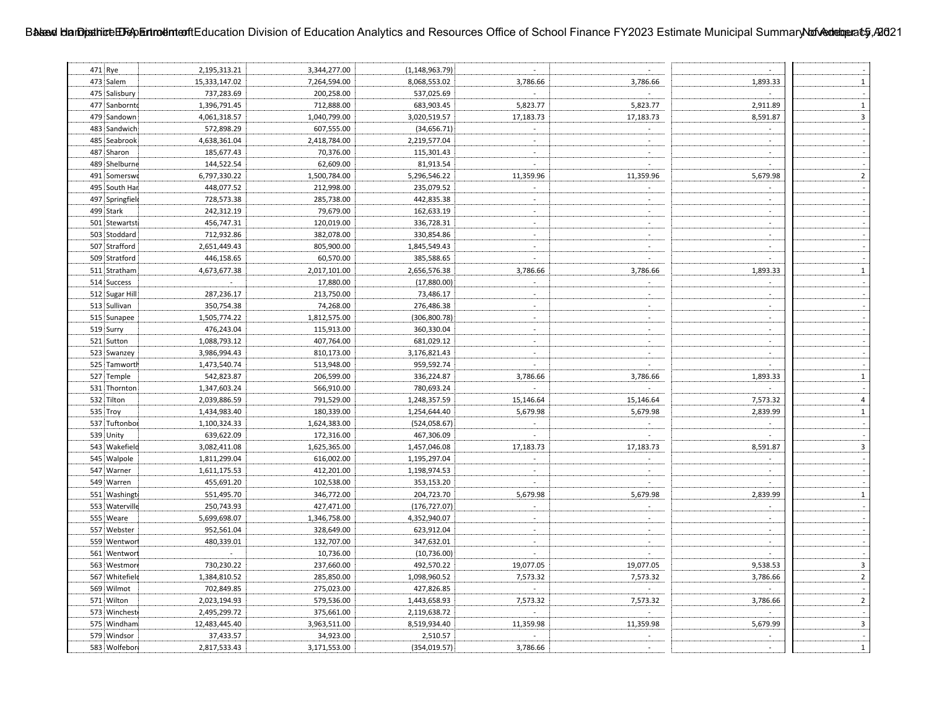| 471 Rye         | 2,195,313.21   | 3,344,277.00 | (1, 148, 963.79) | $\sim$                      | $\sim$                      | $\sim$                      |                         |
|-----------------|----------------|--------------|------------------|-----------------------------|-----------------------------|-----------------------------|-------------------------|
| 473 Salem       | 15,333,147.02  | 7,264,594.00 | 8,068,553.02     | 3,786.66                    | 3,786.66                    | 1,893.33                    | $\mathbf 1$             |
| 475 Salisbury   | 737,283.69     | 200,258.00   | 537,025.69       |                             |                             |                             |                         |
| 477 Sanbornto   | 1,396,791.45   | 712,888.00   | 683,903.45       | 5,823.77                    | 5,823.77                    | 2,911.89                    | $\mathbf 1$             |
| 479 Sandown     | 4,061,318.57   | 1,040,799.00 | 3,020,519.57     | 17,183.73                   | 17,183.73                   | 8,591.87                    | $\mathsf 3$             |
| 483 Sandwich    | 572,898.29     | 607,555.00   | (34, 656.71)     | $\sim$                      | $\sim$                      | $\mathcal{L}$               |                         |
| 485 Seabrook    | 4,638,361.04   | 2,418,784.00 | 2,219,577.04     | $\sim$                      | $\sim$                      | $\mathcal{L}_{\mathcal{A}}$ | $\sim$                  |
| 487 Sharon      | 185,677.43     | 70,376.00    | 115,301.43       | $\overline{a}$              | $\mathcal{L}_{\mathcal{A}}$ |                             |                         |
| 489 Shelburne   | 144,522.54     | 62,609.00    | 81,913.54        | L.                          | $\sim$                      | $\sim$                      |                         |
| 491 Somerswo    | 6,797,330.22   | 1,500,784.00 | 5,296,546.22     | 11,359.96                   | 11,359.96                   | 5,679.98                    | $\overline{2}$          |
| 495 South Har   | 448,077.52     | 212,998.00   | 235,079.52       |                             | $\sim$                      |                             |                         |
| 497 Springfiele | 728,573.38     | 285,738.00   | 442,835.38       | $\mathbf{r}$                |                             | $\overline{a}$              |                         |
| 499 Stark       | 242,312.19     | 79,679.00    | 162,633.19       | $\sim$                      |                             | $\mathbf{r}$                |                         |
| 501 Stewartst   | 456,747.31     | 120,019.00   | 336,728.31       | $\mathbf{r}$                |                             | $\overline{a}$              |                         |
| 503 Stoddard    | 712,932.86     | 382,078.00   | 330,854.86       | $\sim$                      |                             | $\overline{a}$              |                         |
| 507 Strafford   | 2,651,449.43   | 805,900.00   | 1,845,549.43     | $\sim$                      | $\mathbb{Z}^{\mathbb{Z}}$   | $\mathbb{Z}^+$              | $\sim$                  |
| 509 Stratford   | 446,158.65     | 60,570.00    | 385,588.65       | $\blacksquare$              | $\sim$                      | $\sim$                      |                         |
| 511 Stratham    | 4,673,677.38   | 2,017,101.00 | 2,656,576.38     | 3,786.66                    | 3,786.66                    | 1,893.33                    | $\mathbf 1$             |
| 514 Success     | $\sim$         | 17,880.00    | (17,880.00)      | $\sim$                      | $\sim$                      | $\sim$                      |                         |
| 512 Sugar Hill  | 287,236.17     | 213,750.00   | 73,486.17        | $\sim$                      | $\sim$                      | $\sim$                      | $\mathbb{Z}^2$          |
| 513 Sullivan    | 350,754.38     | 74,268.00    | 276,486.38       | $\sim$                      | $\sim$                      | $\sim$                      |                         |
| 515 Sunapee     | 1,505,774.22   | 1,812,575.00 | (306, 800.78)    | $\sim$                      | $\sim$                      | $\omega$                    |                         |
| 519 Surry       | 476,243.04     | 115,913.00   | 360,330.04       | $\sim$                      | $\sim$                      | $\overline{a}$              |                         |
| 521 Sutton      | 1,088,793.12   | 407,764.00   | 681,029.12       | $\sim$                      | $\sim$                      | ÷.                          |                         |
| 523 Swanzey     | 3,986,994.43   | 810,173.00   | 3,176,821.43     |                             | $\sim$                      |                             |                         |
| 525 Tamworth    | 1,473,540.74   | 513,948.00   | 959,592.74       | $\sim$                      | $\omega$                    | $\mathcal{L}$               |                         |
| 527 Temple      | 542,823.87     | 206,599.00   | 336,224.87       | 3,786.66                    | 3,786.66                    | 1,893.33                    | $\mathbf 1$             |
| 531 Thornton    | 1,347,603.24   | 566,910.00   | 780,693.24       | $\sim$                      | $\mathcal{L}$               | $\mathcal{L}$               |                         |
| 532 Tilton      | 2,039,886.59   | 791,529.00   | 1,248,357.59     | 15,146.64                   | 15,146.64                   | 7,573.32                    | $\pmb{4}$               |
| 535 Troy        | 1,434,983.40   | 180,339.00   | 1,254,644.40     | 5,679.98                    | 5,679.98                    | 2,839.99                    | $\mathbf 1$             |
| 537 Tuftonbor   | 1,100,324.33   | 1,624,383.00 | (524,058.67)     | $\mathcal{L}^{\mathcal{L}}$ | $\sim$                      | $\mathcal{L}^{\mathcal{A}}$ | $\bar{\gamma}$          |
| 539 Unity       | 639,622.09     | 172,316.00   | 467,306.09       | $\sim$                      | $\sim$                      | $\mathcal{L}_{\mathcal{A}}$ |                         |
| 543 Wakefield   | 3,082,411.08   | 1,625,365.00 | 1,457,046.08     | 17,183.73                   | 17,183.73                   | 8,591.87                    | $\overline{\mathbf{3}}$ |
| 545 Walpole     | 1,811,299.04   | 616,002.00   | 1,195,297.04     | $\sim$                      | $\sim$                      | $\sim$                      | $\sim$                  |
| 547 Warner      | 1,611,175.53   | 412,201.00   | 1,198,974.53     | $\mathbb{Z}^+$              | $\sim$                      | $\sim$                      | $\sim$                  |
| 549 Warren      | 455,691.20     | 102,538.00   | 353,153.20       | $\blacksquare$              | $\sim$                      | $\sim$                      |                         |
| 551 Washingt    | 551,495.70     | 346,772.00   | 204,723.70       | 5,679.98                    | 5,679.98                    | 2,839.99                    | $\mathbf 1$             |
| 553 Waterville  | 250,743.93     | 427,471.00   | (176, 727.07)    | $\sim$                      | $\sim$                      | $\sim$                      |                         |
| 555 Weare       | 5,699,698.07   | 1,346,758.00 | 4,352,940.07     | $\sim$                      | $\sim$                      | $\sim$                      | $\sim$                  |
| 557 Webster     | 952,561.04     | 328,649.00   | 623,912.04       | $\sim$                      | $\sim$                      |                             |                         |
| 559 Wentwort    | 480,339.01     | 132,707.00   | 347,632.01       | $\sim$                      | $\sim$                      | $\omega$                    |                         |
| 561 Wentwort    | $\mathbb{Z}^2$ | 10,736.00    | (10, 736.00)     |                             | $\mathbb{R}^+$              |                             |                         |
| 563 Westmore    | 730,230.22     | 237,660.00   | 492,570.22       | 19,077.05                   | 19,077.05                   | 9,538.53                    | $\overline{\mathbf{3}}$ |
| 567 Whitefield  | 1,384,810.52   | 285,850.00   | 1,098,960.52     | 7,573.32                    | 7,573.32                    | 3,786.66                    | $\mathbf 2$             |
| 569 Wilmot      | 702,849.85     | 275,023.00   | 427,826.85       | $\omega$                    | $\mathbb{Z}^+$              | $\omega$                    |                         |
| 571 Wilton      | 2,023,194.93   | 579,536.00   | 1,443,658.93     | 7,573.32                    | 7,573.32                    | 3,786.66                    | $\overline{2}$          |
| 573 Winchest    | 2,495,299.72   | 375,661.00   | 2,119,638.72     | $\sim$                      | $\sim$                      |                             |                         |
| 575 Windham     | 12,483,445.40  | 3,963,511.00 | 8,519,934.40     | 11,359.98                   | 11,359.98                   | 5,679.99                    | $\overline{\mathbf{3}}$ |
| 579 Windsor     | 37,433.57      | 34,923.00    | 2,510.57         |                             |                             |                             |                         |
| 583 Wolfebor    |                |              |                  |                             |                             | $\mathbf{r}$                | $\mathbf 1$             |
|                 | 2,817,533.43   | 3,171,553.00 | (354, 019.57)    | 3,786.66                    |                             |                             |                         |